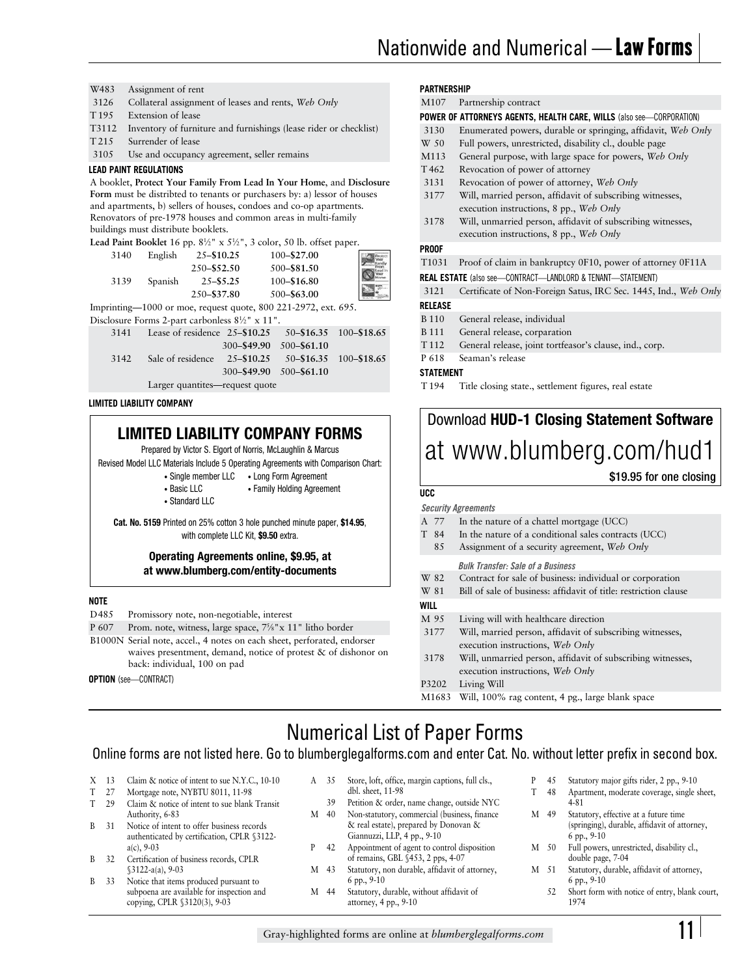- W483 Assignment of rent
- 3126 3126 Collateral assignment of leases and rents, *Web Only*
- T<sub>195</sub> Extension of lease
- T3112 Inventory of furniture and furnishings (lease rider or checklist)
- T215 Surrender of lease
- 3105 Use and occupancy agreement, seller remains

#### **LEAD PAINT REGULATIONS**

A booklet, **Protect Your Family From Lead In Your Home**, and **Disclosure Form** must be distribted to tenants or purchasers by: a) lessor of houses and apartments, b) sellers of houses, condoes and co-op apartments. Renovators of pre-1978 houses and common areas in multi-family buildings must distribute booklets.

#### **Lead Paint Booklet** 16 pp.  $8\frac{1}{2}$ " x  $5\frac{1}{2}$ ", 3 color, 50 lb. offset paper.

| 3140 | English | $25 - $10.25$ | 100-\$27.00 |  |
|------|---------|---------------|-------------|--|
|      |         | 250-\$52.50   | 500-\$81.50 |  |
| 3139 | Spanish | $25 - $5.25$  | 100-\$16.80 |  |
|      |         | 250-\$37.80   | 500-\$63.00 |  |
|      |         |               |             |  |

Imprinting—1000 or moe, request quote, 800 221-2972, ext. 695. Disclosure Forms 2-part carbonless  $8\frac{1}{2}$ " x 11".

|                                | $\frac{1}{2}$ and $\frac{1}{2}$ ball called the $\frac{1}{2}$ and $\frac{1}{2}$ |                         |  |  |
|--------------------------------|---------------------------------------------------------------------------------|-------------------------|--|--|
|                                | 3141 Lease of residence 25-\$10.25 50-\$16.35 100-\$18.65                       |                         |  |  |
|                                |                                                                                 | 300-\$49.90 500-\$61.10 |  |  |
| 3142                           | Sale of residence 25–\$10.25 50–\$16.35 100–\$18.65                             |                         |  |  |
|                                |                                                                                 | 300-\$49.90 500-\$61.10 |  |  |
| Larger quantites—request quote |                                                                                 |                         |  |  |

**LIMITED LIABILITY COMPANY** 

# **LIMITED LIABILITY COMPANY FORMS**

Prepared by Victor S. Elgort of Norris, McLaughlin & Marcus

Revised Model LLC Materials Include 5 Operating Agreements with Comparison Chart:

- Single member LLC Long Form Agreement
- Basic LLC Family Holding Agreement
- Standard LLC

**Cat. No. 5159** Printed on 25% cotton 3 hole punched minute paper, **\$14.95**, with complete LLC Kit, **\$9.50** extra.

#### **Operating Agreements online, \$9.95, at at www.blumberg.com/entity-documents**

#### **NOTE**

- D485 Promissory note, non-negotiable, interest
- P 607 B1000N Serial note, accel., 4 notes on each sheet, perforated, endorser P 607 Prom. note, witness, large space,  $7\frac{5}{8}$ " x 11" litho border waives presentment, demand, notice of protest & of dishonor on back: individual, 100 on pad

**OPTION** (see—CONTRACT)

## **PARTNERSHIP**

| 1 AN IN LIVIIII   |                                                                      |
|-------------------|----------------------------------------------------------------------|
| M107              | Partnership contract                                                 |
|                   | POWER OF ATTORNEYS AGENTS, HEALTH CARE, WILLS (also see-CORPORATION) |
| 3130              | Enumerated powers, durable or springing, affidavit, Web Only         |
| W 50              | Full powers, unrestricted, disability cl., double page               |
| M113              | General purpose, with large space for powers, Web Only               |
| T <sub>462</sub>  | Revocation of power of attorney                                      |
| 3131              | Revocation of power of attorney, Web Only                            |
| 3177              | Will, married person, affidavit of subscribing witnesses,            |
|                   | execution instructions, 8 pp., Web Only                              |
| 3178              | Will, unmarried person, affidavit of subscribing witnesses,          |
|                   | execution instructions, 8 pp., Web Only                              |
| Proof             |                                                                      |
| T <sub>1031</sub> | Proof of claim in bankruptcy 0F10, power of attorney 0F11A           |
|                   | <b>REAL ESTATE</b> (also see-CONTRACT-LANDLORD & TENANT-STATEMENT)   |
| 3121              | Certificate of Non-Foreign Satus, IRC Sec. 1445, Ind., Web Only      |
| RELEASE           |                                                                      |
| <b>B</b> 110      | General release, individual                                          |
| <b>B</b> 111      | General release, corparation                                         |
| T <sub>112</sub>  | General release, joint tortfeasor's clause, ind., corp.              |

P 618 Seaman's release

### **STATEMENT**

**PROOF** 

T<sub>194</sub> Title closing state., settlement figures, real estate

# Download **HUD-1 Closing Statement Software**  at www.blumberg.com/hud1

### \$19.95 for one closing

�

# **UCC**

|      | <b>Security Agreements</b> |                                                                  |  |  |  |  |
|------|----------------------------|------------------------------------------------------------------|--|--|--|--|
|      | A 77                       | In the nature of a chattel mortgage (UCC)                        |  |  |  |  |
|      | T 84                       | In the nature of a conditional sales contracts (UCC)             |  |  |  |  |
|      | 85                         | Assignment of a security agreement, Web Only                     |  |  |  |  |
|      |                            | <b>Bulk Transfer: Sale of a Business</b>                         |  |  |  |  |
|      | W 82                       | Contract for sale of business: individual or corporation         |  |  |  |  |
| W 81 |                            | Bill of sale of business: affidavit of title: restriction clause |  |  |  |  |
| WILL |                            |                                                                  |  |  |  |  |
| M 95 |                            | Living will with healthcare direction                            |  |  |  |  |
|      | 3177                       | Will, married person, affidavit of subscribing witnesses,        |  |  |  |  |
|      |                            | execution instructions, Web Only                                 |  |  |  |  |
|      | 3178                       | Will, unmarried person, affidavit of subscribing witnesses,      |  |  |  |  |
|      |                            | execution instructions, Web Only                                 |  |  |  |  |
|      | P3202                      | Living Will                                                      |  |  |  |  |
|      | M1683                      | Will, 100% rag content, 4 pg., large blank space                 |  |  |  |  |

T

# Numerical List of Paper Forms

### Online forms are not listed here. Go to blumberglegalforms.com and enter Cat. No. without letter prefix in second box.

- $X$  13
- $T$
- $T = 29$ Claim & notice of intent to sue blank Transit 39 Petition & order, name change, outside NYC 4-81<br>Authority, 6-83 M 40 Non-statutory, commercial (business, finance M 49 Statutory, effective at a future time
- $\mathbf{R}$ authenticated by certification, CPLR §3122-
- $\mathbf{R}$ 32 Certification of business records, CPLR of remains, GBL §453, 2 pps, 4-07 double page, 7-04<br>\$3122-a(a), 9-03 M 43 Statutory, non durable, affidavit of attorney, M 51 Statutory, durable, affidavit of attorney,
- B 33 copying, CPLR §3120(3), 9-03 attorney, 4 pp., 9-10
- A 35 Claim & notice of intent to sue N.Y.C., 10-10 <br>Mortgage note NYBTU 8011, 11-98 <br>Mortgage note NYBTU 8011, 11-98 <br>Short, 11-98 <br>T 48 Apartment, moderate coverage, single s
	-
- $M$  40 Authority, 6-83 M 40 Non-statutory, commercial (business, finance B 31 Notice of intent to offer business records & real estate), prepared by Donovan & (springing), durable, affidavit of attorney, authenticated by certification, CPLR §3122-<br>
Giannuzzi, LLP, 4 pp., 9-10 6 pp., 9-10
	- $P = 42$ a(c), 9-03 P 42 Appointment of agent to control disposition M 50 Full powers, unrestricted, disability cl.,
	- M 43 §3122-a(a), 9-03 M 43 Statutory, non durable, affidavit of attorney,<br>Notice that items produced pursuant to 6pp., 9-10 Notice that items produced pursuant to 6 pp., 9-10 6 pp., 9-10 6 pp., 9-10 6 pp., 9-10 6 pp., 9-10 6 pp., 9-10
		- M 44
- $\, {\bf p}$
- T 27 Mortgage note, NYBTU 8011, 11-98 dbl. sheet, 11-98 T 48 Apartment, moderate coverage, single sheet,
	- M 49
	- $M = 50$
	- M 51
	- subpoena are available for inspection and M 44 Statutory, durable, without affidavit of 52 Short form with notice of entry, blank court,<br>
	copying, CPLR §3120(3), 9-03 attorney, 4 pp., 9-10 attorney, 4 pp., 9-10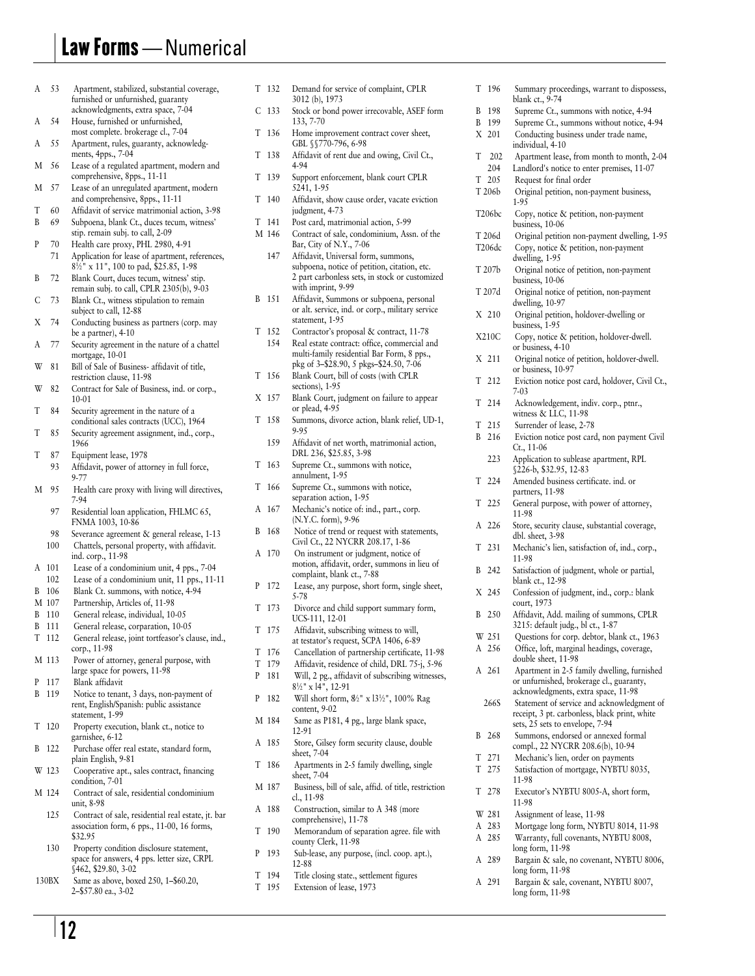# Law Forms — Numerical

| A | 53    | Apartment, stabilized, substantial coverage,                                            | T | 132              | Demand for service of complaint, CPLR<br>3012 (b), 1973                           |
|---|-------|-----------------------------------------------------------------------------------------|---|------------------|-----------------------------------------------------------------------------------|
|   |       | furnished or unfurnished, guaranty<br>acknowledgments, extra space, 7-04                |   | C <sub>133</sub> | Stock or bond power irrecovable, ASEF form                                        |
| A | 54    | House, furnished or unfurnished,                                                        |   |                  | 133, 7-70                                                                         |
|   |       | most complete. brokerage cl., 7-04                                                      | T | 136              | Home improvement contract cover sheet,                                            |
| A | 55    | Apartment, rules, guaranty, acknowledg-                                                 |   |                  | GBL §§770-796, 6-98                                                               |
|   |       | ments, 4pps., 7-04                                                                      | T | 138              | Affidavit of rent due and owing, Civil Ct.,                                       |
| M | 56    | Lease of a regulated apartment, modern and                                              |   |                  | 4-94                                                                              |
| M | 57    | comprehensive, 8pps., 11-11<br>Lease of an unregulated apartment, modern                | T | 139              | Support enforcement, blank court CPLR<br>5241, 1-95                               |
|   |       | and comprehensive, 8pps., 11-11                                                         | T | 140              | Affidavit, show cause order, vacate eviction                                      |
| T | 60    | Affidavit of service matrimonial action, 3-98                                           |   |                  | judgment, 4-73                                                                    |
| B | 69    | Subpoena, blank Ct., duces tecum, witness'                                              | T | 141              | Post card, matrimonial action, 5-99                                               |
|   |       | stip. remain subj. to call, 2-09                                                        |   | M 146            | Contract of sale, condominium, Assn. of the                                       |
| P | 70    | Health care proxy, PHL 2980, 4-91                                                       |   |                  | Bar, City of N.Y., 7-06                                                           |
|   | 71    | Application for lease of apartment, references,                                         |   | 147              | Affidavit, Universal form, summons,                                               |
|   |       | 8 <sup>1</sup> / <sub>2</sub> " x 11", 100 to pad, \$25.85, 1-98                        |   |                  | subpoena, notice of petition, citation, etc.                                      |
| B | 72    | Blank Court, duces tecum, witness' stip.                                                |   |                  | 2 part carbonless sets, in stock or customized<br>with imprint, 9-99              |
|   | 73    | remain subj. to call, CPLR 2305(b), 9-03                                                |   | B 151            | Affidavit, Summons or subpoena, personal                                          |
| С |       | Blank Ct., witness stipulation to remain<br>subject to call, 12-88                      |   |                  | or alt. service, ind. or corp., military service                                  |
| Х | 74    | Conducting business as partners (corp. may                                              |   |                  | statement, 1-95                                                                   |
|   |       | be a partner), $4-10$                                                                   | T | -152             | Contractor's proposal & contract, 11-78                                           |
| A | 77    | Security agreement in the nature of a chattel                                           |   | 154              | Real estate contract: office, commercial and                                      |
|   |       | mortgage, 10-01                                                                         |   |                  | multi-family residential Bar Form, 8 pps.,                                        |
| W | 81    | Bill of Sale of Business- affidavit of title,                                           |   |                  | pkg of 3-\$28.90, 5 pkgs-\$24.50, 7-06                                            |
|   |       | restriction clause, 11-98                                                               | T | 156              | Blank Court, bill of costs (with CPLR<br>sections), 1-95                          |
| W | 82    | Contract for Sale of Business, ind. or corp.,<br>$10-01$                                |   | X 157            | Blank Court, judgment on failure to appear                                        |
| T | 84    | Security agreement in the nature of a                                                   |   |                  | or plead, 4-95                                                                    |
|   |       | conditional sales contracts (UCC), 1964                                                 | T | 158              | Summons, divorce action, blank relief, UD-1,                                      |
| T | 85    | Security agreement assignment, ind., corp.,                                             |   |                  | 9-95                                                                              |
|   |       | 1966                                                                                    |   | 159              | Affidavit of net worth, matrimonial action,                                       |
| T | 87    | Equipment lease, 1978                                                                   |   |                  | DRL 236, \$25.85, 3-98                                                            |
|   | 93    | Affidavit, power of attorney in full force,                                             | T | 163              | Supreme Ct., summons with notice,                                                 |
|   |       | 9-77                                                                                    | T | 166              | annulment, 1-95                                                                   |
| M | 95    | Health care proxy with living will directives,                                          |   |                  | Supreme Ct., summons with notice,<br>separation action, 1-95                      |
|   | 97    | 7-94                                                                                    |   | A 167            | Mechanic's notice of: ind., part., corp.                                          |
|   |       | Residential loan application, FHLMC 65,<br>FNMA 1003, 10-86                             |   |                  | (N.Y.C. form), 9-96                                                               |
|   | 98    | Severance agreement & general release, 1-13                                             | B | 168              | Notice of trend or request with statements,                                       |
|   | 100   | Chattels, personal property, with affidavit.                                            |   |                  | Civil Ct., 22 NYCRR 208.17, 1-86                                                  |
|   |       | ind. corp., 11-98                                                                       |   | A 170            | On instrument or judgment, notice of                                              |
|   | A 101 | Lease of a condominium unit, 4 pps., 7-04                                               |   |                  | motion, affidavit, order, summons in lieu of<br>complaint, blank ct., 7-88        |
|   | 102   | Lease of a condominium unit, 11 pps., 11-11                                             | P | 172              | Lease, any purpose, short form, single sheet,                                     |
| В | 106   | Blank Ct. summons, with notice, 4-94                                                    |   |                  | 5-78                                                                              |
|   | M 107 | Partnership, Articles of, 11-98                                                         | T | -173             | Divorce and child support summary form,                                           |
| B | 110   | General release, individual, 10-05                                                      |   |                  | UCS-111, 12-01                                                                    |
| B | 111   | General release, corparation, 10-05<br>General release, joint tortfeasor's clause, ind. |   | T 175            | Affidavit, subscribing witness to will,                                           |
|   | T 112 | corp., 11-98                                                                            |   |                  | at testator's request, SCPA 1406, 6-89                                            |
|   | M 113 | Power of attorney, general purpose, with                                                |   | T 176            | Cancellation of partnership certificate, 11-98                                    |
|   |       | large space for powers, 11-98                                                           | T | 179              | Affidavit, residence of child, DRL 75-j, 5-96                                     |
| P | 117   | Blank affidavit                                                                         | P | 181              | Will, 2 pg., affidavit of subscribing witnesses,<br>$8\frac{1}{2}$ " x 14", 12-91 |
| B | 119   | Notice to tenant, 3 days, non-payment of                                                | P | 182              | Will short form, 8/2" x 13 <sup>1</sup> / <sub>2</sub> ", 100% Rag                |
|   |       | rent, English/Spanish: public assistance                                                |   |                  | content, 9-02                                                                     |
|   |       | statement, 1-99                                                                         |   | M 184            | Same as P181, 4 pg., large blank space,                                           |
|   | T 120 | Property execution, blank ct., notice to                                                |   |                  | 12-91                                                                             |
| B | 122   | garnishee, 6-12<br>Purchase offer real estate, standard form,                           |   | A 185            | Store, Gilsey form security clause, double                                        |
|   |       | plain English, 9-81                                                                     |   |                  | sheet, 7-04                                                                       |
|   | W 123 | Cooperative apt., sales contract, financing                                             | T | 186              | Apartments in 2-5 family dwelling, single                                         |
|   |       | condition, 7-01                                                                         |   |                  | sheet, 7-04                                                                       |
|   | M 124 | Contract of sale, residential condominium                                               |   | M 187            | Business, bill of sale, affid. of title, restriction<br>cl., 11-98                |
|   |       | unit, 8-98                                                                              | А | 188              | Construction, similar to A 348 (more                                              |
|   | 125   | Contract of sale, residential real estate, jt. bar                                      |   |                  | comprehensive), 11-78                                                             |
|   |       | association form, 6 pps., 11-00, 16 forms,                                              | T | 190              | Memorandum of separation agree. file with                                         |
|   | 130   | \$32.95<br>Property condition disclosure statement,                                     |   |                  | county Clerk, 11-98                                                               |
|   |       | space for answers, 4 pps. letter size, CRPL                                             | P | 193              | Sub-lease, any purpose, (incl. coop. apt.),                                       |
|   |       | \$462, \$29.80, 3-02                                                                    |   |                  | 12-88                                                                             |
|   | 130BX | Same as above, boxed 250, 1-\$60.20,                                                    | T | 194              | Title closing state., settlement figures                                          |
|   |       | 2–\$57.80 ea., 3-02                                                                     |   | T 195            | Extension of lease, 1973                                                          |

| Apartment, stabilized, substantial coverage,<br>furnished or unfurnished, guaranty                                  |        | T 132        | Demand for service of complaint, CPLR<br>3012 (b), 1973                                                                        |
|---------------------------------------------------------------------------------------------------------------------|--------|--------------|--------------------------------------------------------------------------------------------------------------------------------|
| acknowledgments, extra space, 7-04<br>House, furnished or unfurnished,                                              | С      | -133         | Stock or bond power irrecovable, ASEF form<br>133, 7-70                                                                        |
| most complete. brokerage cl., 7-04<br>Apartment, rules, guaranty, acknowledg-                                       | T      | 136          | Home improvement contract cover sheet,<br>GBL §§770-796, 6-98                                                                  |
| ments, 4pps., 7-04<br>Lease of a regulated apartment, modern and                                                    | T      | 138          | Affidavit of rent due and owing, Civil Ct.,<br>4-94                                                                            |
| comprehensive, 8pps., 11-11                                                                                         | T      | 139          | Support enforcement, blank court CPLR                                                                                          |
| Lease of an unregulated apartment, modern<br>and comprehensive, 8pps., 11-11                                        | T      | 140          | 5241, 1-95<br>Affidavit, show cause order, vacate eviction                                                                     |
| Affidavit of service matrimonial action, 3-98                                                                       |        |              | judgment, 4-73                                                                                                                 |
| Subpoena, blank Ct., duces tecum, witness'<br>stip. remain subj. to call, 2-09<br>Health care proxy, PHL 2980, 4-91 | T      | 141<br>M 146 | Post card, matrimonial action, 5-99<br>Contract of sale, condominium, Assn. of the<br>Bar, City of N.Y., 7-06                  |
| Application for lease of apartment, references,<br>8 <sup>1</sup> / <sub>2</sub> " x 11", 100 to pad, \$25.85, 1-98 |        | 147          | Affidavit, Universal form, summons,<br>subpoena, notice of petition, citation, etc.                                            |
| Blank Court, duces tecum, witness' stip.<br>remain subj. to call, CPLR 2305(b), 9-03                                |        |              | 2 part carbonless sets, in stock or customized<br>with imprint, 9-99                                                           |
| Blank Ct., witness stipulation to remain<br>subject to call, 12-88                                                  | B      | -151         | Affidavit, Summons or subpoena, personal<br>or alt. service, ind. or corp., military service                                   |
| Conducting business as partners (corp. may<br>be a partner), 4-10                                                   |        | T 152        | statement, 1-95<br>Contractor's proposal & contract, 11-78                                                                     |
| Security agreement in the nature of a chattel<br>mortgage, 10-01                                                    |        | 154          | Real estate contract: office, commercial and<br>multi-family residential Bar Form, 8 pps.,                                     |
| Bill of Sale of Business- affidavit of title,<br>restriction clause, 11-98                                          | T      | 156          | pkg of 3–\$28.90, 5 pkgs–\$24.50, 7-06<br>Blank Court, bill of costs (with CPLR<br>sections), 1-95                             |
| Contract for Sale of Business, ind. or corp.,<br>10-01                                                              |        | X 157        | Blank Court, judgment on failure to appear                                                                                     |
| Security agreement in the nature of a<br>conditional sales contracts (UCC), 1964                                    | T      | -158         | or plead, 4-95<br>Summons, divorce action, blank relief, UD-1,                                                                 |
| Security agreement assignment, ind., corp.,<br>1966                                                                 |        | 159          | 9-95<br>Affidavit of net worth, matrimonial action,<br>DRL 236, \$25.85, 3-98                                                  |
| Equipment lease, 1978<br>Affidavit, power of attorney in full force,<br>9-77                                        | T      | 163          | Supreme Ct., summons with notice,<br>annulment, 1-95                                                                           |
| Health care proxy with living will directives,<br>7-94                                                              | T      | 166          | Supreme Ct., summons with notice,<br>separation action, 1-95                                                                   |
| Residential loan application, FHLMC 65,<br>FNMA 1003, 10-86                                                         | А      | -167         | Mechanic's notice of: ind., part., corp.<br>(N.Y.C. form), 9-96                                                                |
| Severance agreement & general release, 1-13<br>Chattels, personal property, with affidavit.                         | B      | 168          | Notice of trend or request with statements,<br>Civil Ct., 22 NYCRR 208.17, 1-86                                                |
| ind. corp., 11-98<br>Lease of a condominium unit, 4 pps., 7-04                                                      |        | A 170        | On instrument or judgment, notice of<br>motion, affidavit, order, summons in lieu of                                           |
| Lease of a condominium unit, 11 pps., 11-11<br>Blank Ct. summons, with notice, 4-94                                 | P      | 172          | complaint, blank ct., 7-88<br>Lease, any purpose, short form, single sheet,<br>5-78                                            |
| Partnership, Articles of, 11-98<br>General release, individual, 10-05                                               | T      | 173          | Divorce and child support summary form,<br>UCS-111, 12-01                                                                      |
| General release, corparation, 10-05<br>General release, joint tortfeasor's clause, ind.,                            |        | T 175        | Affidavit, subscribing witness to will,<br>at testator's request, SCPA 1406, 6-89                                              |
| corp., 11-98<br>Power of attorney, general purpose, with                                                            | T      | 176          | Cancellation of partnership certificate, 11-98                                                                                 |
| large space for powers, 11-98<br>Blank affidavit                                                                    | T<br>P | 179<br>181   | Affidavit, residence of child, DRL 75-j, 5-96<br>Will, 2 pg., affidavit of subscribing witnesses,                              |
| Notice to tenant, 3 days, non-payment of<br>rent, English/Spanish: public assistance                                | P      | 182          | $8\frac{1}{2}$ " x 14", 12-91<br>Will short form, 8 <sup>2</sup> x 13 <sup>1</sup> / <sub>2</sub> ", 100% Rag<br>content, 9-02 |
| statement, 1-99<br>Property execution, blank ct., notice to                                                         |        | M 184        | Same as P181, 4 pg., large blank space,<br>12-91                                                                               |
| garnishee, 6-12<br>Purchase offer real estate, standard form,                                                       |        | A 185        | Store, Gilsey form security clause, double<br>sheet, 7-04                                                                      |
| plain English, 9-81<br>Cooperative apt., sales contract, financing                                                  | T      | 186          | Apartments in 2-5 family dwelling, single<br>sheet, 7-04                                                                       |
| condition, 7-01<br>Contract of sale, residential condominium                                                        |        | M 187        | Business, bill of sale, affid. of title, restriction<br>cl., 11-98                                                             |
| unit, 8-98<br>Contract of sale, residential real estate, jt. bar                                                    |        | A 188        | Construction, similar to A 348 (more<br>comprehensive), 11-78                                                                  |

| T      | 196        | Summary proceedings, warrant to dispossess,                                                 |
|--------|------------|---------------------------------------------------------------------------------------------|
| B      | 198        | blank ct., 9-74<br>Supreme Ct., summons with notice, 4-94                                   |
| B      | 199        | Supreme Ct., summons without notice, 4-94                                                   |
| Χ      | 201        | Conducting business under trade name,                                                       |
|        |            | individual, 4-10                                                                            |
| T      | 202<br>204 | Apartment lease, from month to month, 2-04                                                  |
| T      | 205        | Landlord's notice to enter premises, 11-07<br>Request for final order                       |
|        | T 206b     | Original petition, non-payment business,                                                    |
|        |            | 1-95                                                                                        |
|        | T206bc     | Copy, notice & petition, non-payment                                                        |
|        | T 206d     | business, 10-06<br>Original petition non-payment dwelling, 1-95                             |
|        | T206dc     | Copy, notice & petition, non-payment                                                        |
|        |            | dwelling, 1-95                                                                              |
|        | T 207b     | Original notice of petition, non-payment                                                    |
|        | T 207d     | business, 10-06<br>Original notice of petition, non-payment                                 |
|        |            | dwelling, 10-97                                                                             |
|        | X 210      | Original petition, holdover-dwelling or                                                     |
|        | X210C      | business, 1-95<br>Copy, notice & petition, holdover-dwell.                                  |
|        |            | or business, 4-10                                                                           |
| Χ      | 211        | Original notice of petition, holdover-dwell.                                                |
| T      | 212        | or business, 10-97<br>Eviction notice post card, holdover, Civil Ct.,                       |
|        |            | 7-03                                                                                        |
| T      | 214        | Acknowledgement, indiv. corp., ptnr.,                                                       |
|        |            | witness & LLC, 11-98                                                                        |
| T<br>B | 215<br>216 | Surrender of lease, 2-78<br>Eviction notice post card, non payment Civil                    |
|        |            | Ct., 11-06                                                                                  |
|        | 223        | Application to sublease apartment, RPL                                                      |
|        |            | §226-b, \$32.95, 12-83                                                                      |
| T      | 224        | Amended business certificate. ind. or<br>partners, 11-98                                    |
| T      | 225        | General purpose, with power of attorney,<br>11-98                                           |
| А      | 226        | Store, security clause, substantial coverage,                                               |
|        |            | dbl. sheet, 3-98                                                                            |
| T      | 231        | Mechanic's lien, satisfaction of, ind., corp.,<br>11-98                                     |
| B      | 242        | Satisfaction of judgment, whole or partial,<br>blank ct., 12-98                             |
| Χ      | 245        | Confession of judgment, ind., corp.: blank                                                  |
| B      | 250        | court, 1973<br>Affidavit, Add. mailing of summons, CPLR                                     |
|        |            | 3215: default judg., bl ct., 1-87                                                           |
|        | W 251      | Questions for corp. debtor, blank ct., 1963                                                 |
| A      | 256        | Office, loft, marginal headings, coverage,<br>double sheet, 11-98                           |
| A      | 261        | Apartment in 2-5 family dwelling, furnished                                                 |
|        |            | or unfurnished, brokerage cl., guaranty,                                                    |
|        | 266S       | acknowledgments, extra space, 11-98                                                         |
|        |            | Statement of service and acknowledgment of<br>receipt, 3 pt. carbonless, black print, white |
|        |            | sets, 25 sets to envelope, 7-94                                                             |
| B      | 268        | Summons, endorsed or annexed formal                                                         |
| T      | 271        | compl., 22 NYCRR 208.6(b), 10-94<br>Mechanic's lien, order on payments                      |
| T      | 275        | Satisfaction of mortgage, NYBTU 8035,                                                       |
|        |            | 11-98                                                                                       |
| T      | 278        | Executor's NYBTU 8005-A, short form,<br>11-98                                               |
| W      | 281        | Assignment of lease, 11-98                                                                  |
| А      | 283        | Mortgage long form, NYBTU 8014, 11-98                                                       |
| А      | 285        | Warranty, full covenants, NYBTU 8008,<br>long form, 11-98                                   |
| А      | 289        | Bargain & sale, no covenant, NYBTU 8006,                                                    |
|        |            | long form, 11-98                                                                            |

A 291 A 291 Bargain & sale, covenant, NYBTU 8007, long form, 11-98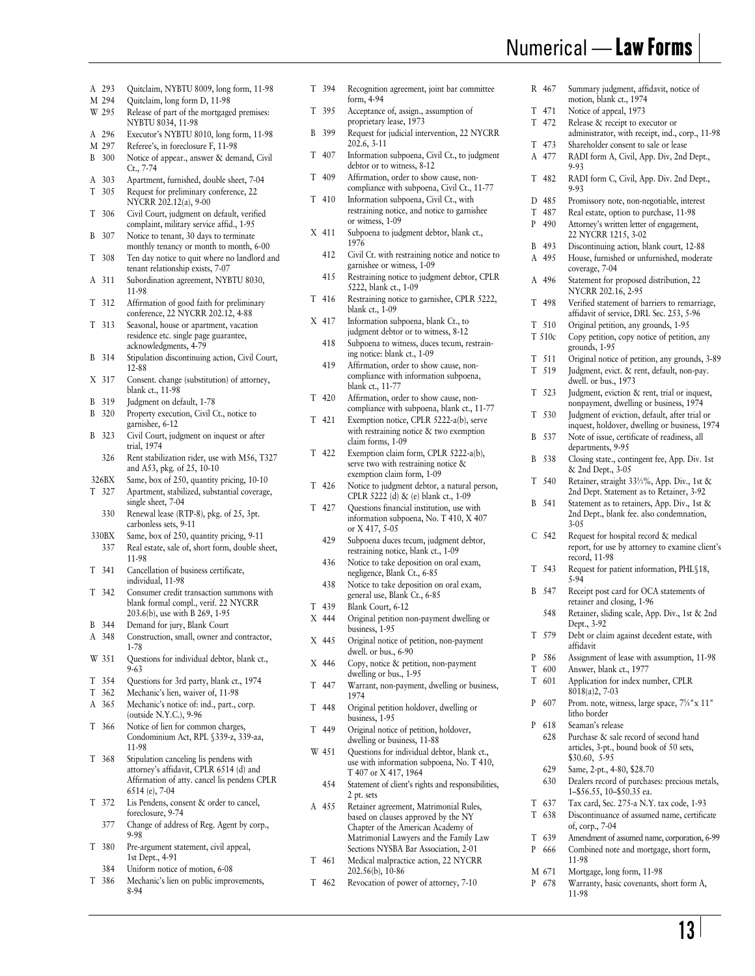# Numerical — Law Forms

�

- A 293 M 294 W 295 A 296 M 297 B 300 A 303 T 305 T 306 B 307 T 308 A 311 T 312 T 313 B 314 X 317 B 319 B 320 B 323 326BX T 327 330BX T 341 T 342 B 344 A 348 W 351 T 354 T 362 A 365 T 366 T 368 T 372 T 380 Release of part of the mortgaged premises: NYBTU 8034, 11-98 Executor's NYBTU 8010, long form, 11-98 Referee's, in foreclosure F, 11-98 Notice of appear., answer & demand, Civil Ct., 7-74 326 330 337 377 Apartment, furnished, double sheet, 7-04 Request for preliminary conference, 22 NYCRR 202.12(a), 9-00 Civil Court, judgment on default, verified complaint, military service affid., 1-95 Notice to tenant, 30 days to terminate monthly tenancy or month to month, 6-00 Ten day notice to quit where no landlord and tenant relationship exists, 7-07 Subordination agreement, NYBTU 8030, 11-98 Affirmation of good faith for preliminary conference, 22 NYCRR 202.12, 4-88 Seasonal, house or apartment, vacation residence etc. single page guarantee, acknowledgments, 4-79 Stipulation discontinuing action, Civil Court, 12-88 Consent. change (substitution) of attorney, blank ct., 11-98 Judgment on default, 1-78 Property execution, Civil Ct., notice to garnishee, 6-12 Civil Court, judgment on inquest or after trial, 1974 Rent stabilization rider, use with M56, T327 and A53, pkg. of 25, 10-10 Same, box of 250, quantity pricing, 10-10 Apartment, stabilized, substantial coverage, single sheet, 7-04 Renewal lease (RTP-8), pkg. of 25, 3pt. carbonless sets, 9-11 Same, box of 250, quantity pricing, 9-11 Real estate, sale of, short form, double sheet, 11-98 Cancellation of business certificate, individual, 11-98 Consumer credit transaction summons with blank formal compl., verif. 22 NYCRR 203.6(b), use with B 269, 1-95 Demand for jury, Blank Court Construction, small, owner and contractor, 1-78 Questions for individual debtor, blank ct., 9-63 Questions for 3rd party, blank ct., 1974 Mechanic's lien, waiver of, 11-98 Mechanic's notice of: ind., part., corp. (outside N.Y.C.), 9-96 Notice of lien for common charges, Condominium Act, RPL §339-z, 339-aa, 11-98 Stipulation canceling lis pendens with attorney's affidavit, CPLR 6514 (d) and Affirmation of atty. cancel lis pendens CPLR 6514 (e), 7-04 Lis Pendens, consent & order to cancel, foreclosure, 9-74 Change of address of Reg. Agent by corp., 9-98 Pre-argument statement, civil appeal, 1st Dept., 4-91
- 384 Uniform notice of motion, 6-08
- T 386 Mechanic's lien on public improvements, 8-94
- T 394 A 293 Quitclaim, NYBTU 8009, long form, 11-98 T 394 Recognition agreement, joint bar committee R 467 Summary judgment, affidavit, notice of Quitclaim, long form D, 11-98 form A-94 form, 4-94 motion, blank ct., 1974
	- T 395 Acceptance of, assign., assumption of proprietary lease, 1973
	- B 399 Request for judicial intervention, 22 NYCRR  $202.6, 3-11$
	- T 407 Information subpoena, Civil Ct., to judgment debtor or to witness, 8-12
	- T 409 Affirmation, order to show cause, noncompliance with subpoena, Civil Ct., 11-77 Information subpoena, Civil Ct., with
	- T 410 restraining notice, and notice to garnishee or witness, 1-09
	- X 411 Subpoena to judgment debtor, blank ct., 1976
		- 412 Civil Ct. with restraining notice and notice to garnishee or witness, 1-09
		- 415 Restraining notice to judgment debtor, CPLR 5222, blank ct., 1-09
	- T 416 Restraining notice to garnishee, CPLR 5222, blank ct., 1-09
	- X 417 418 Information subpoena, blank Ct., to judgment debtor or to witness, 8-12
		- 419 Subpoena to witness, duces tecum, restraining notice: blank ct., 1-09
		- Affirmation, order to show cause, noncompliance with information subpoena, blank ct., 11-77
	- T 420 Affirmation, order to show cause, noncompliance with subpoena, blank ct., 11-77
	- T 421 Exemption notice, CPLR 5222-a(b), serve with restraining notice & two exemption claim forms, 1-09
	- T 422 Exemption claim form, CPLR 5222-a(b), serve two with restraining notice & exemption claim form, 1-09
	- T 426 Notice to judgment debtor, a natural person, CPLR 5222 (d) & (e) blank ct., 1-09
	- T 427 Questions financial institution, use with information subpoena, No. T 410, X 407 or X 417, 5-05
		- 429 Subpoena duces tecum, judgment debtor, restraining notice, blank ct., 1-09
		- 436 Notice to take deposition on oral exam, negligence, Blank Ct., 6-85
		- 438 Notice to take deposition on oral exam, general use, Blank Ct., 6-85
	- T 439 Blank Court, 6-12
	- X 444 Original petition non-payment dwelling or business, 1-95
	- X 445 Original notice of petition, non-payment dwell. or bus., 6-90
	- X 446 Copy, notice & petition, non-payment dwelling or bus., 1-95
	- T 447 Warrant, non-payment, dwelling or business, 1974
	- T 448 Original petition holdover, dwelling or business, 1-95
	- T 449 Original notice of petition, holdover, dwelling or business, 11-88
	- W 451 Questions for individual debtor, blank ct., use with information subpoena, No. T 410, T 407 or X 417, 1964
	- 454 Statement of client's rights and responsibilities, 2 pt. sets
	- A 455 Retainer agreement, Matrimonial Rules, based on clauses approved by the NY Chapter of the American Academy of Matrimonial Lawyers and the Family Law Sections NYSBA Bar Association, 2-01
	- T 461 Medical malpractice action, 22 NYCRR 202.56(b), 10-86
	- T 462 Revocation of power of attorney, 7-10
- R 467 T 471 T 472 T 473 A 477 T 482 D 485 T 487 P 490 B 493 A 495 A 496 T 498 T 510 T 510c T 511 T 519 T 523 T 530 B 537 B 538 T 540 B 541 C 542 T 543 B 547 T 579 P 586 T 600 T 601 P 607 P 618 T 637 Notice of appeal, 1973 Release & receipt to executor or administrator, with receipt, ind., corp., 11-98 Shareholder consent to sale or lease RADI form A, Civil, App. Div, 2nd Dept., 9-93 548 628 629 630 RADI form C, Civil, App. Div. 2nd Dept., 9-93 Promissory note, non-negotiable, interest Real estate, option to purchase, 11-98 Attorney's written letter of engagement, 22 NYCRR 1215, 3-02 Discontinuing action, blank court, 12-88 House, furnished or unfurnished, moderate coverage, 7-04 Statement for proposed distribution, 22 NYCRR 202.16, 2-95 Verified statement of barriers to remarriage, affidavit of service, DRL Sec. 253, 5-96 Original petition, any grounds, 1-95 Copy petition, copy notice of petition, any grounds, 1-95 Original notice of petition, any grounds, 3-89 Judgment, evict. & rent, default, non-pay. dwell. or bus., 1973 Judgment, eviction & rent, trial or inquest, nonpayment, dwelling or business, 1974 Judgment of eviction, default, after trial or inquest, holdover, dwelling or business, 1974 Note of issue, certificate of readiness, all departments, 9-95 Closing state., contingent fee, App. Div. 1st & 2nd Dept., 3-05 Retainer, straight 331/3%, App. Div., 1st & 2nd Dept. Statement as to Retainer, 3-92 Statement as to retainers, App. Div., 1st & 2nd Dept., blank fee. also condemnation, 3-05 Request for hospital record & medical report, for use by attorney to examine client's record, 11-98 Request for patient information, PHL§18, 5-94 Receipt post card for OCA statements of retainer and closing, 1-96 Retainer, sliding scale, App. Div., 1st & 2nd Dept., 3-92 Debt or claim against decedent estate, with affidavit Assignment of lease with assumption, 11-98 Answer, blank ct., 1977 Application for index number, CPLR 8018(a)2, 7-03 Prom. note, witness, large space,  $7\frac{1}{8}$ " x 11" litho border Seaman's release Purchase & sale record of second hand articles, 3-pt., bound book of 50 sets, \$30.60, 5-95 Same, 2-pt., 4-80, \$28.70 Dealers record of purchases: precious metals, 1–\$56.55, 10–\$50.35 ea. Tax card, Sec. 275-a N.Y. tax code, 1-93
- T 638 Discontinuance of assumed name, certificate of, corp., 7-04
- T 639 Amendment of assumed name, corporation, 6-99
- P 666 Combined note and mortgage, short form, 11-98
- M 671 Mortgage, long form, 11-98
- P 678 Warranty, basic covenants, short form A, 11-98